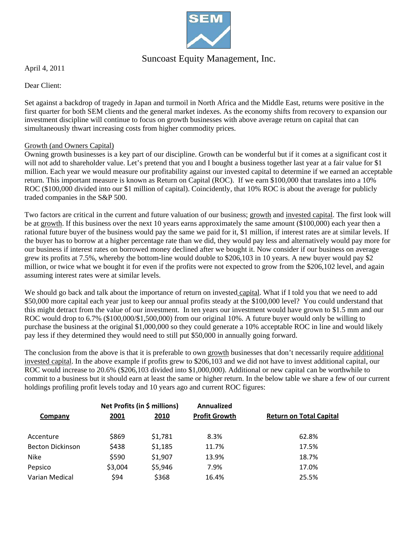

# Suncoast Equity Management, Inc.

April 4, 2011

Dear Client:

Set against a backdrop of tragedy in Japan and turmoil in North Africa and the Middle East, returns were positive in the first quarter for both SEM clients and the general market indexes. As the economy shifts from recovery to expansion our investment discipline will continue to focus on growth businesses with above average return on capital that can simultaneously thwart increasing costs from higher commodity prices.

## Growth (and Owners Capital)

Owning growth businesses is a key part of our discipline. Growth can be wonderful but if it comes at a significant cost it will not add to shareholder value. Let's pretend that you and I bought a business together last year at a fair value for \$1 million. Each year we would measure our profitability against our invested capital to determine if we earned an acceptable return. This important measure is known as Return on Capital (ROC). If we earn \$100,000 that translates into a 10% ROC (\$100,000 divided into our \$1 million of capital). Coincidently, that 10% ROC is about the average for publicly traded companies in the S&P 500.

Two factors are critical in the current and future valuation of our business; growth and invested capital. The first look will be at growth. If this business over the next 10 years earns approximately the same amount (\$100,000) each year then a rational future buyer of the business would pay the same we paid for it, \$1 million, if interest rates are at similar levels. If the buyer has to borrow at a higher percentage rate than we did, they would pay less and alternatively would pay more for our business if interest rates on borrowed money declined after we bought it. Now consider if our business on average grew its profits at 7.5%, whereby the bottom-line would double to \$206,103 in 10 years. A new buyer would pay \$2 million, or twice what we bought it for even if the profits were not expected to grow from the \$206,102 level, and again assuming interest rates were at similar levels.

We should go back and talk about the importance of return on invested capital. What if I told you that we need to add \$50,000 more capital each year just to keep our annual profits steady at the \$100,000 level? You could understand that this might detract from the value of our investment. In ten years our investment would have grown to \$1.5 mm and our ROC would drop to 6.7% (\$100,000/\$1,500,000) from our original 10%. A future buyer would only be willing to purchase the business at the original \$1,000,000 so they could generate a 10% acceptable ROC in line and would likely pay less if they determined they would need to still put \$50,000 in annually going forward.

The conclusion from the above is that it is preferable to own growth businesses that don't necessarily require additional invested capital. In the above example if profits grew to \$206,103 and we did not have to invest additional capital, our ROC would increase to 20.6% (\$206,103 divided into \$1,000,000). Additional or new capital can be worthwhile to commit to a business but it should earn at least the same or higher return. In the below table we share a few of our current holdings profiling profit levels today and 10 years ago and current ROC figures:

|                         | Net Profits (in \$ millions) |              | Annualized           |                                |  |
|-------------------------|------------------------------|--------------|----------------------|--------------------------------|--|
| Company                 | <u> 2001 </u>                | <u> 2010</u> | <b>Profit Growth</b> | <b>Return on Total Capital</b> |  |
| Accenture               | \$869                        | \$1,781      | 8.3%                 | 62.8%                          |  |
| <b>Becton Dickinson</b> | \$438                        | \$1,185      | 11.7%                | 17.5%                          |  |
| <b>Nike</b>             | \$590                        | \$1,907      | 13.9%                | 18.7%                          |  |
| Pepsico                 | \$3,004                      | \$5,946      | 7.9%                 | 17.0%                          |  |
| Varian Medical          | \$94                         | \$368        | 16.4%                | 25.5%                          |  |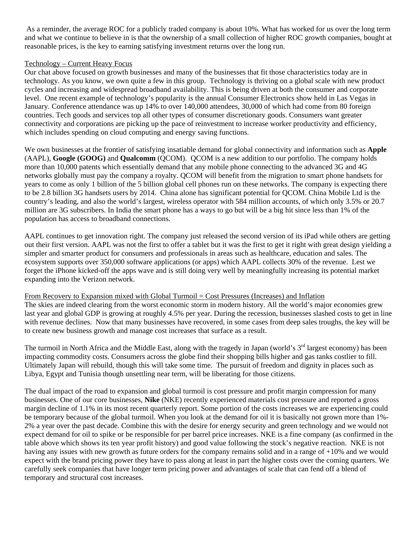As a reminder, the average ROC for a publicly traded company is about 10%. What has worked for us over the long term and what we continue to believe in is that the ownership of a small collection of higher ROC growth companies, bought at reasonable prices, is the key to earning satisfying investment returns over the long run.

## Technology – Current Heavy Focus

Our chat above focused on growth businesses and many of the businesses that fit those characteristics today are in technology. As you know, we own quite a few in this group. Technology is thriving on a global scale with new product cycles and increasing and widespread broadband availability. This is being driven at both the consumer and corporate level. One recent example of technology's popularity is the annual Consumer Electronics show held in Las Vegas in January. Conference attendance was up 14% to over 140,000 attendees, 30,000 of which had come from 80 foreign countries. Tech goods and services top all other types of consumer discretionary goods. Consumers want greater connectivity and corporations are picking up the pace of reinvestment to increase worker productivity and efficiency, which includes spending on cloud computing and energy saving functions.

We own businesses at the frontier of satisfying insatiable demand for global connectivity and information such as **Apple**  (AAPL), **Google (GOOG)** and **Qualcomm** (QCOM). QCOM is a new addition to our portfolio. The company holds more than 10,000 patents which essentially demand that any mobile phone connecting to the advanced 3G and 4G networks globally must pay the company a royalty. QCOM will benefit from the migration to smart phone handsets for years to come as only 1 billion of the 5 billion global cell phones run on these networks. The company is expecting there to be 2.8 billion 3G handsets users by 2014. China alone has significant potential for QCOM. China Mobile Ltd is the country's leading, and also the world's largest, wireless operator with 584 million accounts, of which only 3.5% or 20.7 million are 3G subscribers. In India the smart phone has a ways to go but will be a big hit since less than 1% of the population has access to broadband connections.

AAPL continues to get innovation right. The company just released the second version of its iPad while others are getting out their first version. AAPL was not the first to offer a tablet but it was the first to get it right with great design yielding a simpler and smarter product for consumers and professionals in areas such as healthcare, education and sales. The ecosystem supports over 350,000 software applications (or apps) which AAPL collects 30% of the revenue. Lest we forget the iPhone kicked-off the apps wave and is still doing very well by meaningfully increasing its potential market expanding into the Verizon network.

### From Recovery to Expansion mixed with Global Turmoil = Cost Pressures (Increases) and Inflation

The skies are indeed clearing from the worst economic storm in modern history. All the world's major economies grew last year and global GDP is growing at roughly 4.5% per year. During the recession, businesses slashed costs to get in line with revenue declines. Now that many businesses have recovered, in some cases from deep sales troughs, the key will be to create new business growth and manage cost increases that surface as a result.

The turmoil in North Africa and the Middle East, along with the tragedy in Japan (world's  $3<sup>rd</sup>$  largest economy) has been impacting commodity costs. Consumers across the globe find their shopping bills higher and gas tanks costlier to fill. Ultimately Japan will rebuild, though this will take some time. The pursuit of freedom and dignity in places such as Libya, Egypt and Tunisia though unsettling near term, will be liberating for those citizens.

The dual impact of the road to expansion and global turmoil is cost pressure and profit margin compression for many businesses. One of our core businesses, **Nike** (NKE) recently experienced materials cost pressure and reported a gross margin decline of 1.1% in its most recent quarterly report. Some portion of the costs increases we are experiencing could be temporary because of the global turmoil. When you look at the demand for oil it is basically not grown more than 1%- 2% a year over the past decade. Combine this with the desire for energy security and green technology and we would not expect demand for oil to spike or be responsible for per barrel price increases. NKE is a fine company (as confirmed in the table above which shows its ten year profit history) and good value following the stock's negative reaction. NKE is not having any issues with new growth as future orders for the company remains solid and in a range of +10% and we would expect with the brand pricing power they have to pass along at least in part the higher costs over the coming quarters. We carefully seek companies that have longer term pricing power and advantages of scale that can fend off a blend of temporary and structural cost increases.